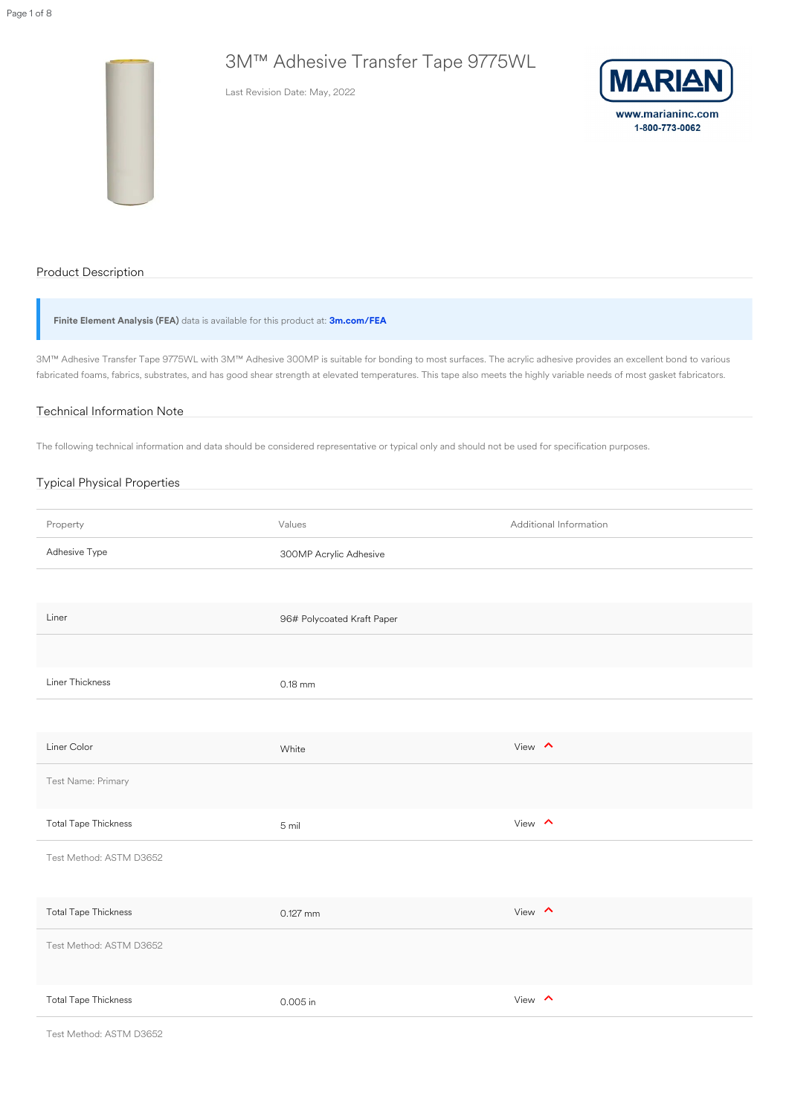# 3M™ Adhesive Transfer Tape 9775WL

Last Revision Date: May, 2022



www.marianinc.com 1-800-773-0062

# Product Description

**Finite Element Analysis (FEA)** data is available for this product at: **[3m.com/FEA](https://www.3m.com/3M/en_US/bonding-and-assembly-us/resources/full-story/~fea-data-for-3m-psas/?storyid=ccd4a185-5e5b-4439-83ec-3ede3443231e)**

3M™ Adhesive Transfer Tape 9775WL with 3M™ Adhesive 300MP is suitable for bonding to most surfaces. The acrylic adhesive provides an excellent bond to various fabricated foams, fabrics, substrates, and has good shear strength at elevated temperatures. This tape also meets the highly variable needs of most gasket fabricators.

#### Technical Information Note

The following technical information and data should be considered representative or typical only and should not be used for specification purposes.

| <b>Typical Physical Properties</b> |                        |                               |
|------------------------------------|------------------------|-------------------------------|
|                                    |                        |                               |
| Property                           | Values                 | <b>Additional Information</b> |
| Adhesive Type                      | 300MP Acrylic Adhesive |                               |

| Liner                       | 96# Polycoated Kraft Paper |               |
|-----------------------------|----------------------------|---------------|
|                             |                            |               |
| Liner Thickness             | $0.18$ mm                  |               |
|                             |                            |               |
| Liner Color                 | White                      | View $\wedge$ |
| Test Name: Primary          |                            |               |
| <b>Total Tape Thickness</b> | 5 mil                      | View $\land$  |
| Test Method: ASTM D3652     |                            |               |
|                             |                            |               |
| <b>Total Tape Thickness</b> | $0.127$ mm                 | View $\wedge$ |
| Test Method: ASTM D3652     |                            |               |
|                             |                            |               |
| <b>Total Tape Thickness</b> | 0.005 in                   | View $\sim$   |

Test Method: ASTM D3652

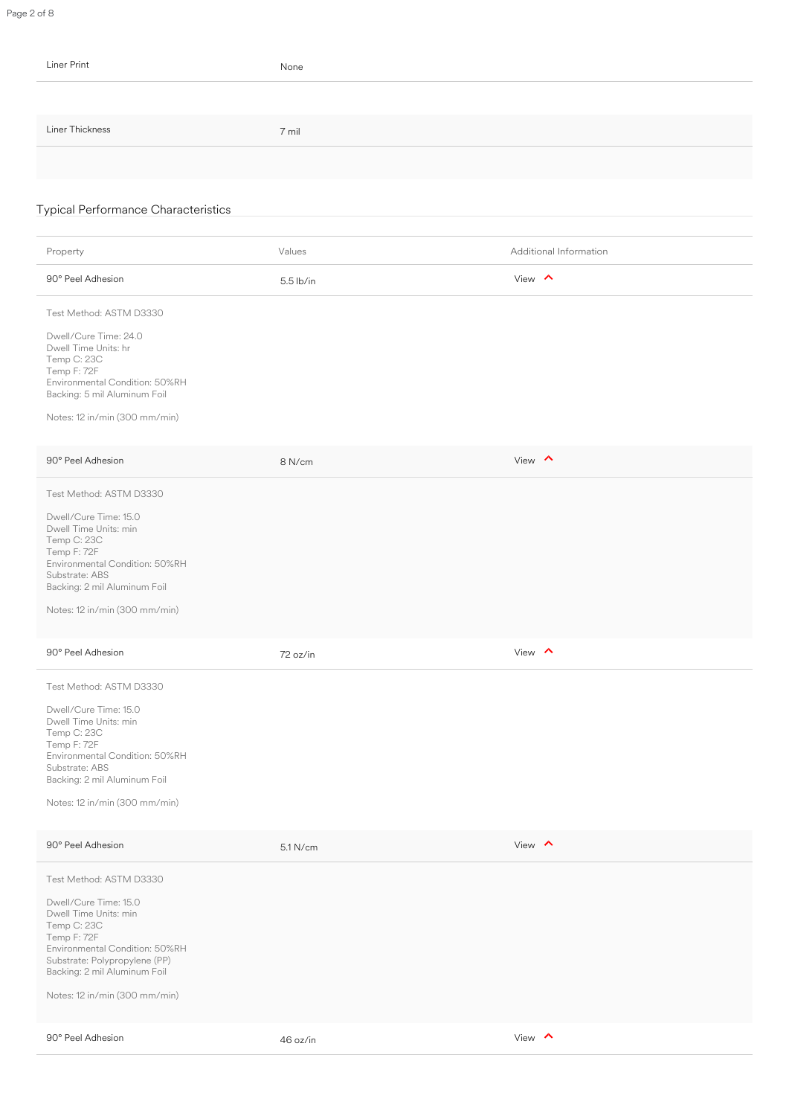| Liner Print                                                                                                                                                                                                                                                                                                                                                                                                                                                                       | None        |                        |
|-----------------------------------------------------------------------------------------------------------------------------------------------------------------------------------------------------------------------------------------------------------------------------------------------------------------------------------------------------------------------------------------------------------------------------------------------------------------------------------|-------------|------------------------|
|                                                                                                                                                                                                                                                                                                                                                                                                                                                                                   |             |                        |
| Liner Thickness                                                                                                                                                                                                                                                                                                                                                                                                                                                                   | 7 mil       |                        |
|                                                                                                                                                                                                                                                                                                                                                                                                                                                                                   |             |                        |
|                                                                                                                                                                                                                                                                                                                                                                                                                                                                                   |             |                        |
| <b>Typical Performance Characteristics</b>                                                                                                                                                                                                                                                                                                                                                                                                                                        |             |                        |
| Property                                                                                                                                                                                                                                                                                                                                                                                                                                                                          | Values      | Additional Information |
| 90° Peel Adhesion                                                                                                                                                                                                                                                                                                                                                                                                                                                                 | $5.5$ lb/in | View $\land$           |
| Test Method: ASTM D3330                                                                                                                                                                                                                                                                                                                                                                                                                                                           |             |                        |
| Dwell/Cure Time: 24.0<br>Dwell Time Units: hr<br>Temp C: 23C<br>Temp F: 72F<br>Environmental Condition: 50%RH<br>Backing: 5 mil Aluminum Foil<br>Notes: 12 in/min (300 mm/min)                                                                                                                                                                                                                                                                                                    |             |                        |
| 90° Peel Adhesion                                                                                                                                                                                                                                                                                                                                                                                                                                                                 | 8 N/cm      | View $\sim$            |
| Test Method: ASTM D3330<br>Dwell/Cure Time: 15.0<br>Dwell Time Units: min<br>Temp C: 23C<br>Temp F: 72F<br>Environmental Condition: 50%RH<br>Substrate: ABS<br>Backing: 2 mil Aluminum Foil<br>Notes: 12 in/min (300 mm/min)<br>90° Peel Adhesion<br>Test Method: ASTM D3330<br>Dwell/Cure Time: 15.0<br>Dwell Time Units: min<br>Temp C: 23C<br>Temp F: 72F<br>Environmental Condition: 50%RH<br>Substrate: ABS<br>Backing: 2 mil Aluminum Foil<br>Notes: 12 in/min (300 mm/min) | 72 oz/in    | View $\land$           |
| 90° Peel Adhesion                                                                                                                                                                                                                                                                                                                                                                                                                                                                 | 5.1 N/cm    | View $\land$           |
| Test Method: ASTM D3330<br>Dwell/Cure Time: 15.0<br>Dwell Time Units: min<br>Temp C: 23C<br>Temp F: 72F<br>Environmental Condition: 50%RH<br>Substrate: Polypropylene (PP)<br>Backing: 2 mil Aluminum Foil<br>Notes: 12 in/min (300 mm/min)                                                                                                                                                                                                                                       |             |                        |
| 90° Peel Adhesion                                                                                                                                                                                                                                                                                                                                                                                                                                                                 | 46 oz/in    | View $\land$           |

Page 2 of 8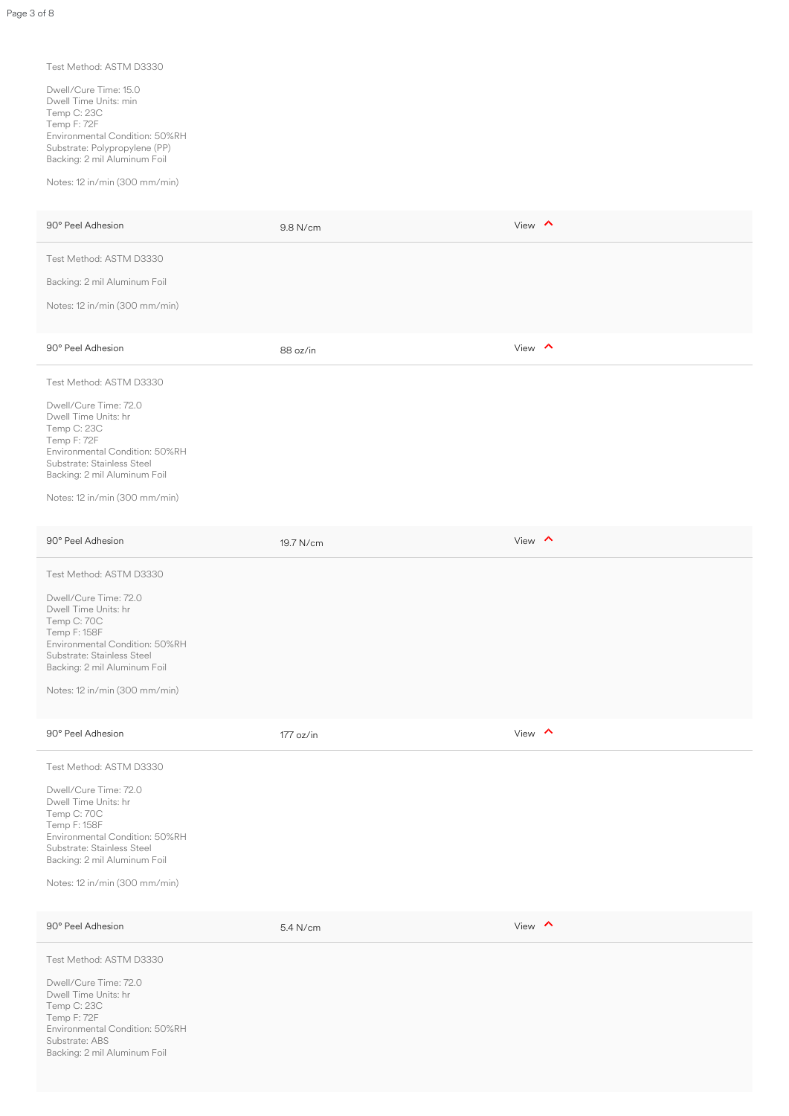#### Test Method: ASTM D3330

Dwell/Cure Time: 15.0 Dwell Time Units: min Temp C: 23C Temp F: 72F Environmental Condition: 50%RH Substrate: Polypropylene (PP) Backing: 2 mil Aluminum Foil

Notes: 12 in/min (300 mm/min)

| 90° Peel Adhesion                                                                                                                                                                                                                        | 9.8 N/cm    | View $\land$  |
|------------------------------------------------------------------------------------------------------------------------------------------------------------------------------------------------------------------------------------------|-------------|---------------|
| Test Method: ASTM D3330                                                                                                                                                                                                                  |             |               |
| Backing: 2 mil Aluminum Foil                                                                                                                                                                                                             |             |               |
| Notes: 12 in/min (300 mm/min)                                                                                                                                                                                                            |             |               |
| 90° Peel Adhesion                                                                                                                                                                                                                        | 88 oz/in    | View $\land$  |
| Test Method: ASTM D3330                                                                                                                                                                                                                  |             |               |
| Dwell/Cure Time: 72.0<br>Dwell Time Units: hr<br>Temp C: 23C<br>Temp F: 72F<br>Environmental Condition: 50%RH<br>Substrate: Stainless Steel<br>Backing: 2 mil Aluminum Foil<br>Notes: 12 in/min (300 mm/min)                             |             |               |
|                                                                                                                                                                                                                                          |             |               |
| 90° Peel Adhesion                                                                                                                                                                                                                        | 19.7 N/cm   | View $\wedge$ |
| Test Method: ASTM D3330                                                                                                                                                                                                                  |             |               |
| Dwell/Cure Time: 72.0<br>Dwell Time Units: hr<br>Temp C: 70C<br>Temp F: 158F<br>Environmental Condition: 50%RH<br>Substrate: Stainless Steel<br>Backing: 2 mil Aluminum Foil<br>Notes: 12 in/min (300 mm/min)                            |             |               |
| 90° Peel Adhesion                                                                                                                                                                                                                        | $177$ oz/in | View $\land$  |
| Test Method: ASTM D3330<br>Dwell/Cure Time: 72.0<br>Dwell Time Units: hr<br>Temp C: 70C<br>Temp F: 158F<br>Environmental Condition: 50%RH<br>Substrate: Stainless Steel<br>Backing: 2 mil Aluminum Foil<br>Notes: 12 in/min (300 mm/min) |             |               |
| 90° Peel Adhesion                                                                                                                                                                                                                        | 5.4 N/cm    | View $\wedge$ |
| Test Method: ASTM D3330<br>Dwell/Cure Time: 72.0<br>Dwell Time Units: hr<br>Temp C: 23C<br>Temp F: 72F<br>Environmental Condition: 50%RH<br>Substrate: ABS<br>Backing: 2 mil Aluminum Foil                                               |             |               |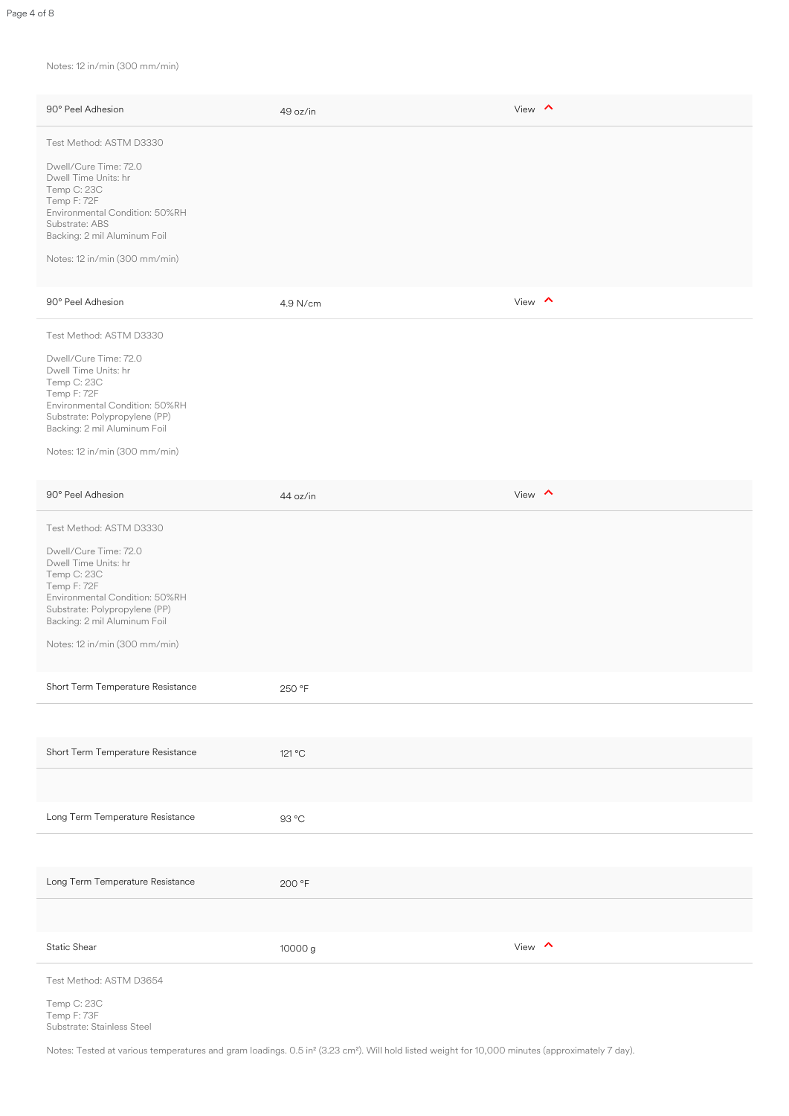Notes: 12 in/min (300 mm/min)

| 90° Peel Adhesion                                                                                                                                                                                                                          | 49 oz/in | View $\wedge$ |
|--------------------------------------------------------------------------------------------------------------------------------------------------------------------------------------------------------------------------------------------|----------|---------------|
| Test Method: ASTM D3330<br>Dwell/Cure Time: 72.0<br>Dwell Time Units: hr<br>Temp C: 23C<br>Temp F: 72F<br>Environmental Condition: 50%RH<br>Substrate: ABS<br>Backing: 2 mil Aluminum Foil<br>Notes: 12 in/min (300 mm/min)                |          |               |
| 90° Peel Adhesion                                                                                                                                                                                                                          | 4.9 N/cm | View $\land$  |
| Test Method: ASTM D3330<br>Dwell/Cure Time: 72.0<br>Dwell Time Units: hr<br>Temp C: 23C<br>Temp F: 72F<br>Environmental Condition: 50%RH<br>Substrate: Polypropylene (PP)<br>Backing: 2 mil Aluminum Foil<br>Notes: 12 in/min (300 mm/min) |          |               |
| 90° Peel Adhesion                                                                                                                                                                                                                          | 44 oz/in | View $\sim$   |
| Test Method: ASTM D3330<br>Dwell/Cure Time: 72.0<br>Dwell Time Units: hr<br>Temp C: 23C<br>Temp F: 72F                                                                                                                                     |          |               |

| Environmental Condition: 50%RH<br>Substrate: Polypropylene (PP)<br>Backing: 2 mil Aluminum Foil<br>Notes: 12 in/min (300 mm/min) |         |              |
|----------------------------------------------------------------------------------------------------------------------------------|---------|--------------|
| Short Term Temperature Resistance                                                                                                | 250 °F  |              |
|                                                                                                                                  |         |              |
| Short Term Temperature Resistance                                                                                                | 121 °C  |              |
|                                                                                                                                  |         |              |
| Long Term Temperature Resistance                                                                                                 | 93 °C   |              |
|                                                                                                                                  |         |              |
| Long Term Temperature Resistance                                                                                                 | 200 °F  |              |
|                                                                                                                                  |         |              |
| <b>Static Shear</b>                                                                                                              | 10000 g | View $\land$ |
| Test Method: ASTM D3654                                                                                                          |         |              |
| Temp C: 23C<br>Temp F: 73F<br>Substrate: Stainless Steel                                                                         |         |              |

Notes: Tested at various temperatures and gram loadings. 0.5 in² (3.23 cm²). Will hold listed weight for 10,000 minutes (approximately 7 day).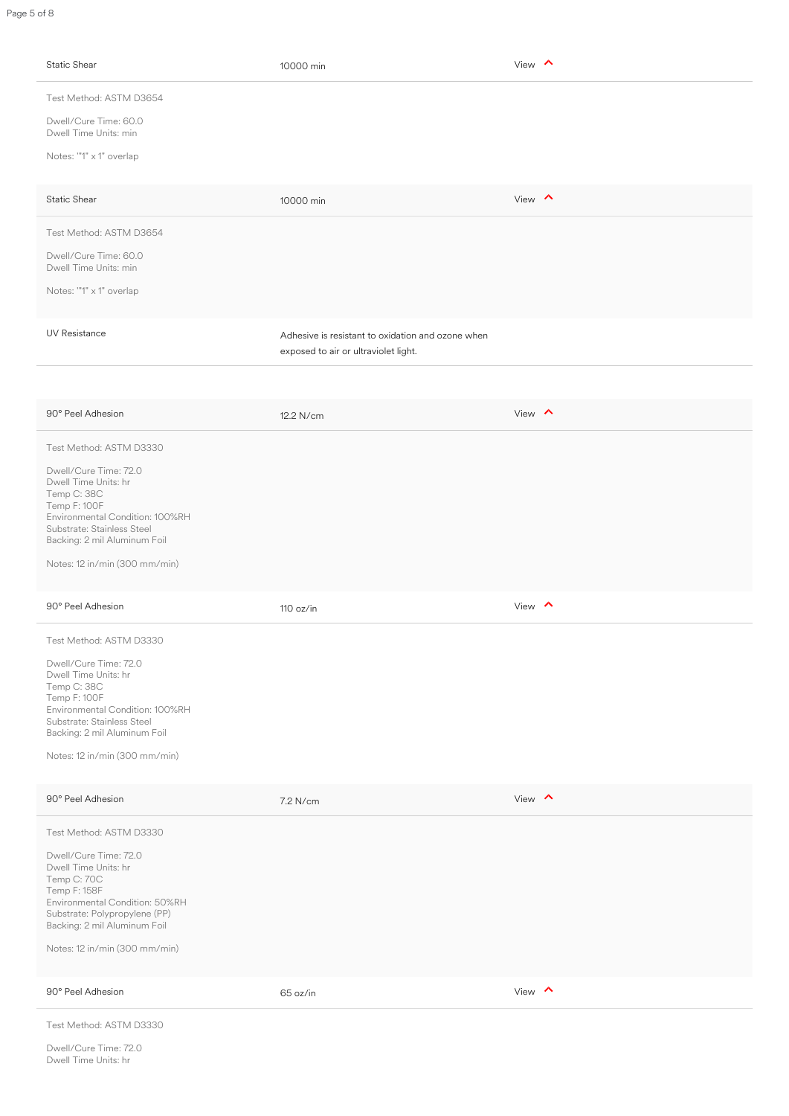| Static Shear                                                                                                                                                                  | 10000 min                                                                                 | View $\wedge$ |
|-------------------------------------------------------------------------------------------------------------------------------------------------------------------------------|-------------------------------------------------------------------------------------------|---------------|
| Test Method: ASTM D3654<br>Dwell/Cure Time: 60.0                                                                                                                              |                                                                                           |               |
| Dwell Time Units: min                                                                                                                                                         |                                                                                           |               |
| Notes: "'1" x 1" overlap                                                                                                                                                      |                                                                                           |               |
| <b>Static Shear</b>                                                                                                                                                           | 10000 min                                                                                 | View $\wedge$ |
| Test Method: ASTM D3654                                                                                                                                                       |                                                                                           |               |
| Dwell/Cure Time: 60.0<br>Dwell Time Units: min                                                                                                                                |                                                                                           |               |
| Notes: "1" x 1" overlap                                                                                                                                                       |                                                                                           |               |
|                                                                                                                                                                               |                                                                                           |               |
| <b>UV Resistance</b>                                                                                                                                                          | Adhesive is resistant to oxidation and ozone when<br>exposed to air or ultraviolet light. |               |
|                                                                                                                                                                               |                                                                                           |               |
| 90° Peel Adhesion                                                                                                                                                             | 12.2 N/cm                                                                                 | View $\wedge$ |
| Test Method: ASTM D3330                                                                                                                                                       |                                                                                           |               |
| Dwell/Cure Time: 72.0<br>Dwell Time Units: hr<br>Temp C: 38C<br>Temp F: 100F<br>Environmental Condition: 100%RH<br>Substrate: Stainless Steel<br>Backing: 2 mil Aluminum Foil |                                                                                           |               |

| 90° Peel Adhesion                                                                                                                                                                                                                           | 110 oz/in | View $\land$ |
|---------------------------------------------------------------------------------------------------------------------------------------------------------------------------------------------------------------------------------------------|-----------|--------------|
| Test Method: ASTM D3330                                                                                                                                                                                                                     |           |              |
| Dwell/Cure Time: 72.0<br>Dwell Time Units: hr<br>Temp C: 38C<br>Temp F: 100F<br>Environmental Condition: 100%RH<br>Substrate: Stainless Steel<br>Backing: 2 mil Aluminum Foil<br>Notes: 12 in/min (300 mm/min)                              |           |              |
| 90° Peel Adhesion                                                                                                                                                                                                                           | 7.2 N/cm  | View $\land$ |
| Test Method: ASTM D3330<br>Dwell/Cure Time: 72.0<br>Dwell Time Units: hr<br>Temp C: 70C<br>Temp F: 158F<br>Environmental Condition: 50%RH<br>Substrate: Polypropylene (PP)<br>Backing: 2 mil Aluminum Foil<br>Notes: 12 in/min (300 mm/min) |           |              |
| 90° Peel Adhesion                                                                                                                                                                                                                           | 65 oz/in  | View $\land$ |
| Test Method: ASTM D3330<br>Dwell/Cure Time: 72.0<br>Dwell Time Units: hr                                                                                                                                                                    |           |              |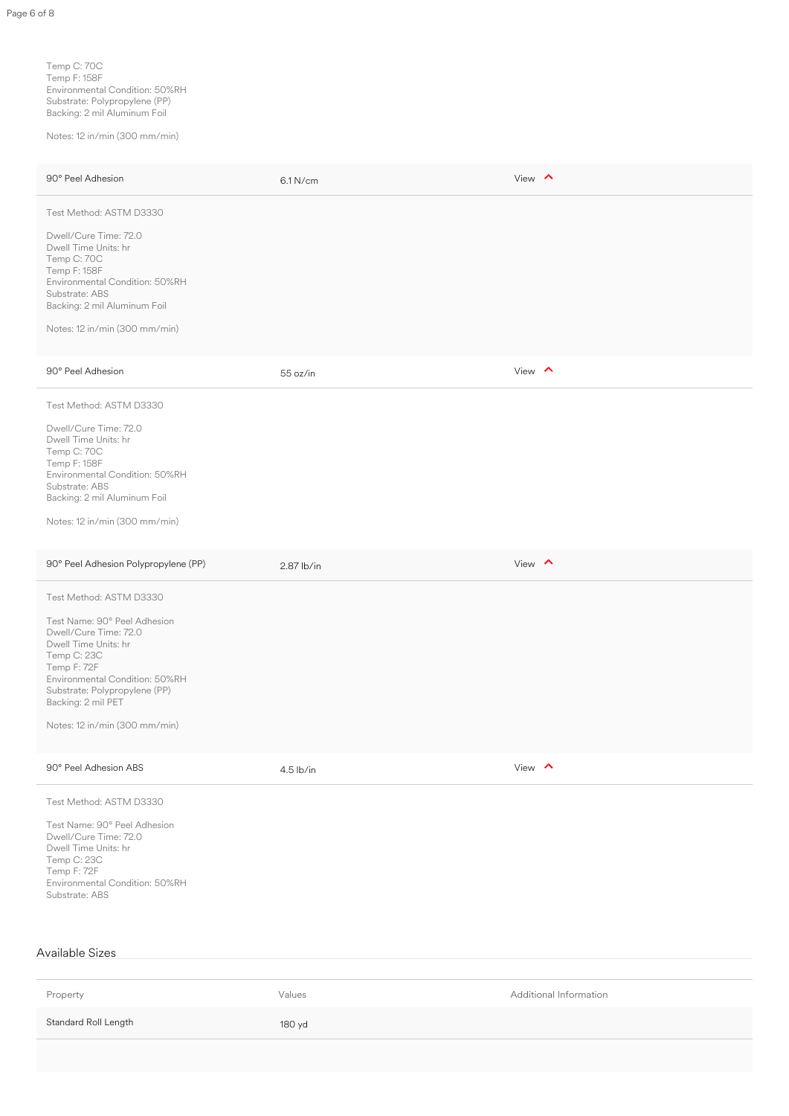Temp C: 70C Temp F: 158F Environmental Condition: 50%RH Substrate: Polypropylene (PP) Backing: 2 mil Aluminum Foil

Notes: 12 in/min (300 mm/min)

| 90° Peel Adhesion                                                                                                                                                                                                                                                | 6.1 N/cm     | View $\wedge$          |
|------------------------------------------------------------------------------------------------------------------------------------------------------------------------------------------------------------------------------------------------------------------|--------------|------------------------|
| Test Method: ASTM D3330                                                                                                                                                                                                                                          |              |                        |
| Dwell/Cure Time: 72.0<br>Dwell Time Units: hr<br>Temp C: 70C<br>Temp F: 158F<br>Environmental Condition: 50%RH<br>Substrate: ABS<br>Backing: 2 mil Aluminum Foil<br>Notes: 12 in/min (300 mm/min)                                                                |              |                        |
| 90° Peel Adhesion                                                                                                                                                                                                                                                | 55 oz/in     | View $\land$           |
| Test Method: ASTM D3330                                                                                                                                                                                                                                          |              |                        |
| Dwell/Cure Time: 72.0<br>Dwell Time Units: hr<br>Temp C: 70C<br>Temp F: 158F<br>Environmental Condition: 50%RH<br>Substrate: ABS<br>Backing: 2 mil Aluminum Foil<br>Notes: 12 in/min (300 mm/min)                                                                |              |                        |
| 90° Peel Adhesion Polypropylene (PP)                                                                                                                                                                                                                             | $2.87$ lb/in | View $\wedge$          |
| Test Method: ASTM D3330<br>Test Name: 90° Peel Adhesion<br>Dwell/Cure Time: 72.0<br>Dwell Time Units: hr<br>Temp C: 23C<br>Temp F: 72F<br>Environmental Condition: 50%RH<br>Substrate: Polypropylene (PP)<br>Backing: 2 mil PET<br>Notes: 12 in/min (300 mm/min) |              |                        |
| 90° Peel Adhesion ABS                                                                                                                                                                                                                                            | $4.5$ lb/in  | View $\land$           |
| Test Method: ASTM D3330<br>Test Name: 90° Peel Adhesion<br>Dwell/Cure Time: 72.0<br>Dwell Time Units: hr<br>Temp C: 23C<br>Temp F: 72F<br>Environmental Condition: 50%RH<br>Substrate: ABS                                                                       |              |                        |
| <b>Available Sizes</b>                                                                                                                                                                                                                                           |              |                        |
| Property                                                                                                                                                                                                                                                         | Values       | Additional Information |
| Standard Roll Length                                                                                                                                                                                                                                             | 180 yd       |                        |
|                                                                                                                                                                                                                                                                  |              |                        |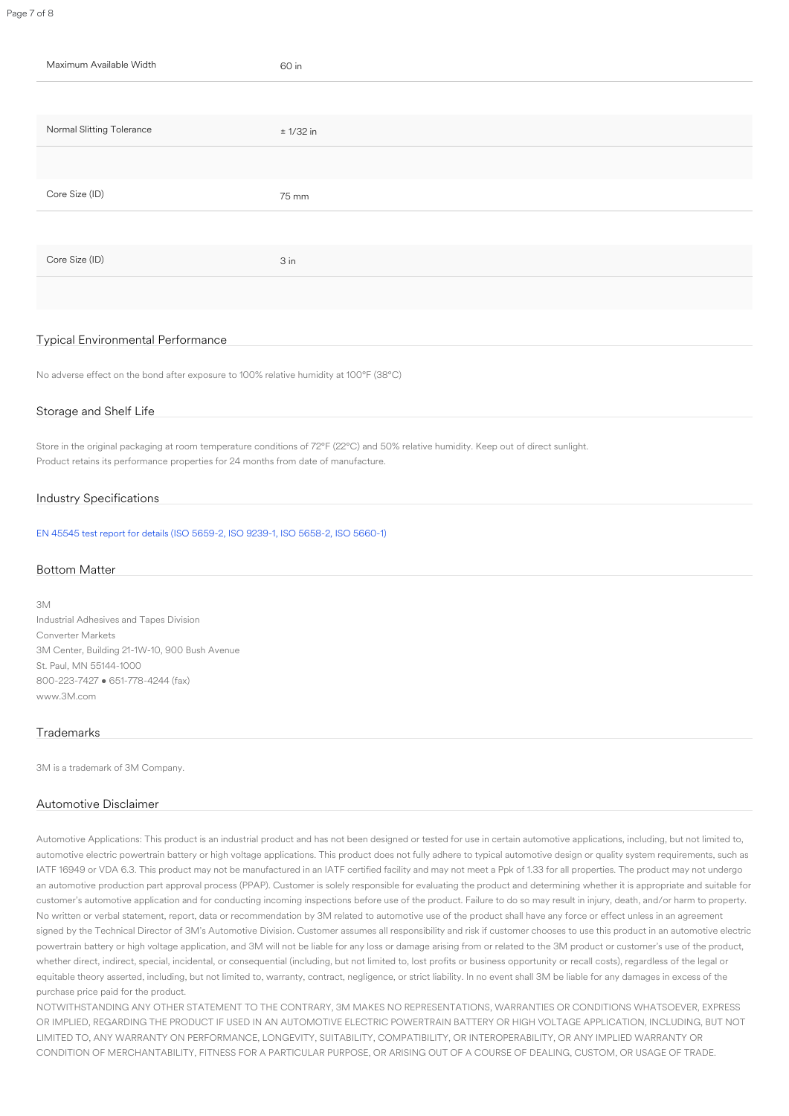# Typical Environmental Performance

No adverse effect on the bond after exposure to 100% relative humidity at 100°F (38°C)

## Storage and Shelf Life

Store in the original packaging at room temperature conditions of 72°F (22°C) and 50% relative humidity. Keep out of direct sunlight. Product retains its performance properties for 24 months from date of manufacture.

## Industry Specifications

[EN 45545 test report for details \(ISO 5659-2, ISO 9239-1, ISO 5658-2, ISO 5660-1\)](https://multimedia.3m.com/mws/media/1735282O/summary-att-9775wl-j385522-bd170831zbs-en-45545-2-2013a1-2015-annex-c.pdf)

#### Bottom Matter

3M Industrial Adhesives and Tapes Division Converter Markets 3M Center, Building 21-1W-10, 900 Bush Avenue St. Paul, MN 55144-1000 800-223-7427 • 651-778-4244 (fax) www.3M.com

#### **Trademarks**

3M is a trademark of 3M Company.

#### Automotive Disclaimer

Automotive Applications: This product is an industrial product and has not been designed or tested for use in certain automotive applications, including, but not limited to, automotive electric powertrain battery or high voltage applications. This product does not fully adhere to typical automotive design or quality system requirements, such as IATF 16949 or VDA 6.3. This product may not be manufactured in an IATF certified facility and may not meet a Ppk of 1.33 for all properties. The product may not undergo an automotive production part approval process (PPAP). Customer is solely responsible for evaluating the product and determining whether it is appropriate and suitable for customer's automotive application and for conducting incoming inspections before use of the product. Failure to do so may result in injury, death, and/or harm to property. No written or verbal statement, report, data or recommendation by 3M related to automotive use of the product shall have any force or effect unless in an agreement signed by the Technical Director of 3M's Automotive Division. Customer assumes all responsibility and risk if customer chooses to use this product in an automotive electric powertrain battery or high voltage application, and 3M will not be liable for any loss or damage arising from or related to the 3M product or customer's use of the product, whether direct, indirect, special, incidental, or consequential (including, but not limited to, lost profits or business opportunity or recall costs), regardless of the legal or equitable theory asserted, including, but not limited to, warranty, contract, negligence, or strict liability. In no event shall 3M be liable for any damages in excess of the purchase price paid for the product.

NOTWITHSTANDING ANY OTHER STATEMENT TO THE CONTRARY, 3M MAKES NO REPRESENTATIONS, WARRANTIES OR CONDITIONS WHATSOEVER, EXPRESS OR IMPLIED, REGARDING THE PRODUCT IF USED IN AN AUTOMOTIVE ELECTRIC POWERTRAIN BATTERY OR HIGH VOLTAGE APPLICATION, INCLUDING, BUT NOT LIMITED TO, ANY WARRANTY ON PERFORMANCE, LONGEVITY, SUITABILITY, COMPATIBILITY, OR INTEROPERABILITY, OR ANY IMPLIED WARRANTY OR CONDITION OF MERCHANTABILITY, FITNESS FOR A PARTICULAR PURPOSE, OR ARISING OUT OF A COURSE OF DEALING, CUSTOM, OR USAGE OF TRADE.

Page 7 of 8

| Maximum Available Width   | 60 in       |
|---------------------------|-------------|
|                           |             |
| Normal Slitting Tolerance | $± 1/32$ in |
|                           |             |
| Core Size (ID)            | 75 mm       |
|                           |             |
| Core Size (ID)            | 3 in        |
|                           |             |
|                           |             |